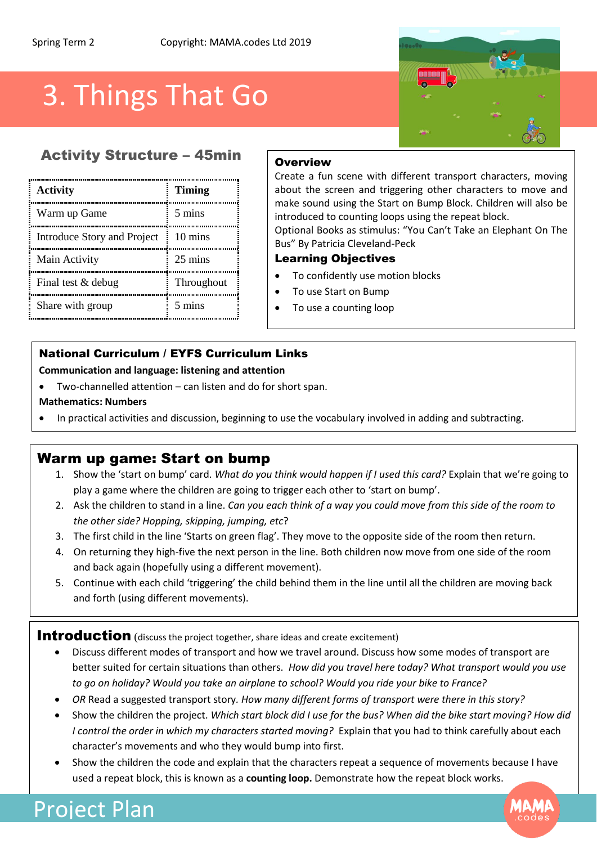# 3. Things That Go

# **Activity Structure – 45min** Overview

| Activity                    | <b>Timing</b>     |
|-----------------------------|-------------------|
| Warm up Game                | 5 mins            |
| Introduce Story and Project | $10 \text{ mins}$ |
| Main Activity               | 25 mins           |
| Final test & debug          | Throughout        |
| Share with group            | 5 mins            |

Create a fun scene with different transport characters, moving about the screen and triggering other characters to move and make sound using the Start on Bump Block. Children will also be introduced to counting loops using the repeat block.

Optional Books as stimulus: "You Can't Take an Elephant On The Bus" By Patricia Cleveland-Peck

#### Learning Objectives

- To confidently use motion blocks
- To use Start on Bump
- To use a counting loop

### National Curriculum / EYFS Curriculum Links

**Communication and language: listening and attention** 

- Two-channelled attention can listen and do for short span.
- **Mathematics: Numbers**
- In practical activities and discussion, beginning to use the vocabulary involved in adding and subtracting.

### Warm up game: Start on bump

- 1. Show the 'start on bump' card. *What do you think would happen if I used this card?* Explain that we're going to play a game where the children are going to trigger each other to 'start on bump'.
- 2. Ask the children to stand in a line. *Can you each think of a way you could move from this side of the room to the other side? Hopping, skipping, jumping, etc*?
- 3. The first child in the line 'Starts on green flag'. They move to the opposite side of the room then return.
- 4. On returning they high-five the next person in the line. Both children now move from one side of the room and back again (hopefully using a different movement).
- 5. Continue with each child 'triggering' the child behind them in the line until all the children are moving back and forth (using different movements).

Introduction (discuss the project together, share ideas and create excitement)

- Discuss different modes of transport and how we travel around. Discuss how some modes of transport are better suited for certain situations than others. *How did you travel here today? What transport would you use to go on holiday? Would you take an airplane to school? Would you ride your bike to France?*
- *OR* Read a suggested transport story*. How many different forms of transport were there in this story?*
- Show the children the project. *Which start block did I use for the bus? When did the bike start moving? How did I control the order in which my characters started moving?* Explain that you had to think carefully about each character's movements and who they would bump into first.
- Show the children the code and explain that the characters repeat a sequence of movements because I have used a repeat block, this is known as a **counting loop.** Demonstrate how the repeat block works.



# Project Plan